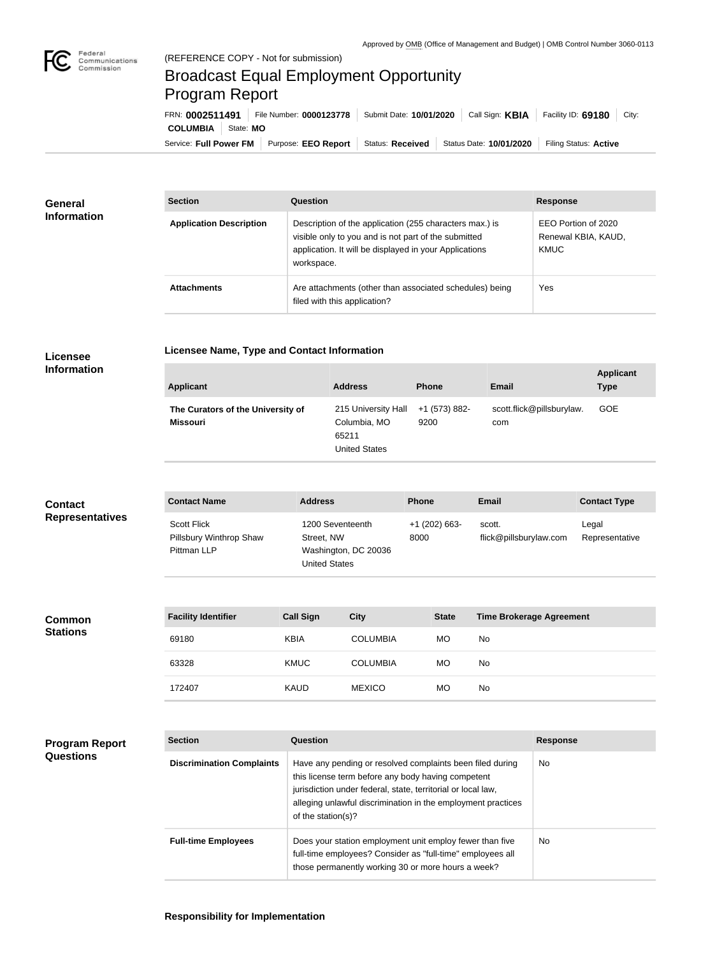

## Broadcast Equal Employment Opportunity Program Report

**Licensee Name, Type and Contact Information**

Service: Full Power FM Purpose: EEO Report | Status: Received | Status Date: 10/01/2020 | Filing Status: Active **COLUMBIA** State: **MO** FRN: **0002511491** File Number: **0000123778** Submit Date: **10/01/2020** Call Sign: **KBIA** Facility ID: **69180** City:

| <b>General</b><br><b>Information</b> | <b>Section</b>                 | Question                                                                                                                                                                                | <b>Response</b>                                           |
|--------------------------------------|--------------------------------|-----------------------------------------------------------------------------------------------------------------------------------------------------------------------------------------|-----------------------------------------------------------|
|                                      | <b>Application Description</b> | Description of the application (255 characters max.) is<br>visible only to you and is not part of the submitted<br>application. It will be displayed in your Applications<br>workspace. | EEO Portion of 2020<br>Renewal KBIA, KAUD,<br><b>KMUC</b> |
|                                      | <b>Attachments</b>             | Are attachments (other than associated schedules) being<br>filed with this application?                                                                                                 | Yes                                                       |

## **Licensee Information**

| <b>Applicant</b>                              | <b>Address</b>                                                       | <b>Phone</b>          | Email                            | <b>Applicant</b><br><b>Type</b> |
|-----------------------------------------------|----------------------------------------------------------------------|-----------------------|----------------------------------|---------------------------------|
| The Curators of the University of<br>Missouri | 215 University Hall<br>Columbia, MO<br>65211<br><b>United States</b> | +1 (573) 882-<br>9200 | scott.flick@pillsburylaw.<br>com | <b>GOE</b>                      |

| <b>Contact</b>         | <b>Contact Name</b>                                          | <b>Address</b>                                                                 | <b>Phone</b>          | <b>Email</b>                     | <b>Contact Type</b>     |
|------------------------|--------------------------------------------------------------|--------------------------------------------------------------------------------|-----------------------|----------------------------------|-------------------------|
| <b>Representatives</b> | <b>Scott Flick</b><br>Pillsbury Winthrop Shaw<br>Pittman LLP | 1200 Seventeenth<br>Street, NW<br>Washington, DC 20036<br><b>United States</b> | +1 (202) 663-<br>8000 | scott.<br>flick@pillsburylaw.com | Legal<br>Representative |

| <b>Common</b><br><b>Stations</b> | <b>Facility Identifier</b> | <b>Call Sign</b> | <b>City</b>     | <b>State</b> | <b>Time Brokerage Agreement</b> |
|----------------------------------|----------------------------|------------------|-----------------|--------------|---------------------------------|
|                                  | 69180                      | <b>KBIA</b>      | <b>COLUMBIA</b> | <b>MO</b>    | No                              |
|                                  | 63328                      | <b>KMUC</b>      | <b>COLUMBIA</b> | <b>MO</b>    | No                              |
|                                  | 172407                     | <b>KAUD</b>      | <b>MEXICO</b>   | <b>MO</b>    | No                              |

| Program Report |  |
|----------------|--|
| Questions      |  |

| <b>Section</b>                   | Question                                                                                                                                                                                                                                                              | <b>Response</b> |
|----------------------------------|-----------------------------------------------------------------------------------------------------------------------------------------------------------------------------------------------------------------------------------------------------------------------|-----------------|
| <b>Discrimination Complaints</b> | Have any pending or resolved complaints been filed during<br>this license term before any body having competent<br>jurisdiction under federal, state, territorial or local law,<br>alleging unlawful discrimination in the employment practices<br>of the station(s)? | No.             |
| <b>Full-time Employees</b>       | Does your station employment unit employ fewer than five<br>full-time employees? Consider as "full-time" employees all<br>those permanently working 30 or more hours a week?                                                                                          | No.             |